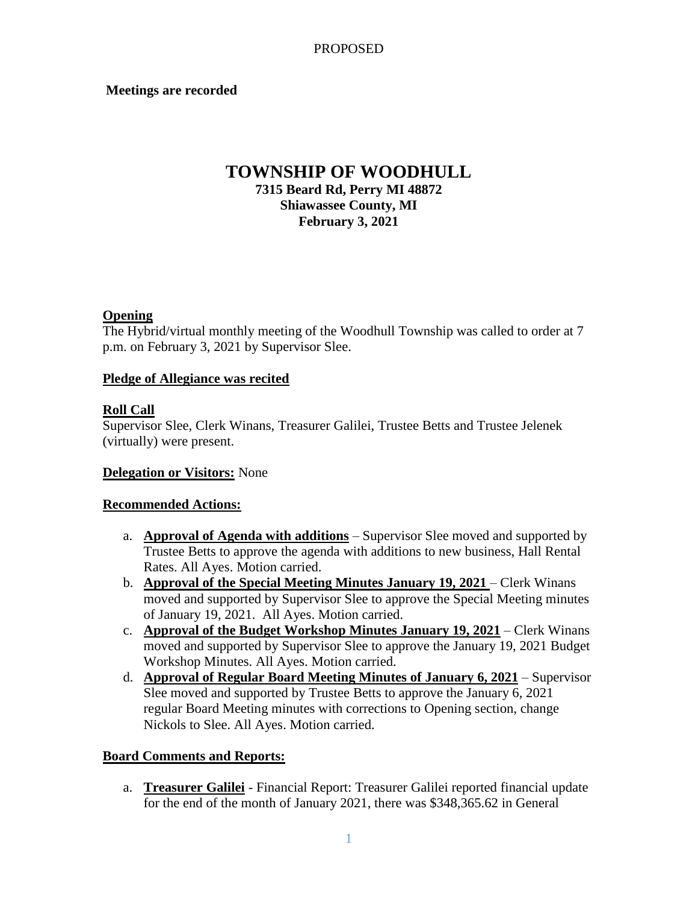### **Meetings are recorded**

# **TOWNSHIP OF WOODHULL 7315 Beard Rd, Perry MI 48872 Shiawassee County, MI February 3, 2021**

### **Opening**

The Hybrid/virtual monthly meeting of the Woodhull Township was called to order at 7 p.m. on February 3, 2021 by Supervisor Slee.

### **Pledge of Allegiance was recited**

### **Roll Call**

Supervisor Slee, Clerk Winans, Treasurer Galilei, Trustee Betts and Trustee Jelenek (virtually) were present.

#### **Delegation or Visitors:** None

#### **Recommended Actions:**

- a. **Approval of Agenda with additions** Supervisor Slee moved and supported by Trustee Betts to approve the agenda with additions to new business, Hall Rental Rates. All Ayes. Motion carried.
- b. **Approval of the Special Meeting Minutes January 19, 2021** Clerk Winans moved and supported by Supervisor Slee to approve the Special Meeting minutes of January 19, 2021. All Ayes. Motion carried.
- c. **Approval of the Budget Workshop Minutes January 19, 2021** Clerk Winans moved and supported by Supervisor Slee to approve the January 19, 2021 Budget Workshop Minutes. All Ayes. Motion carried.
- d. **Approval of Regular Board Meeting Minutes of January 6, 2021** Supervisor Slee moved and supported by Trustee Betts to approve the January 6, 2021 regular Board Meeting minutes with corrections to Opening section, change Nickols to Slee. All Ayes. Motion carried.

#### **Board Comments and Reports:**

a. **Treasurer Galilei** - Financial Report: Treasurer Galilei reported financial update for the end of the month of January 2021, there was \$348,365.62 in General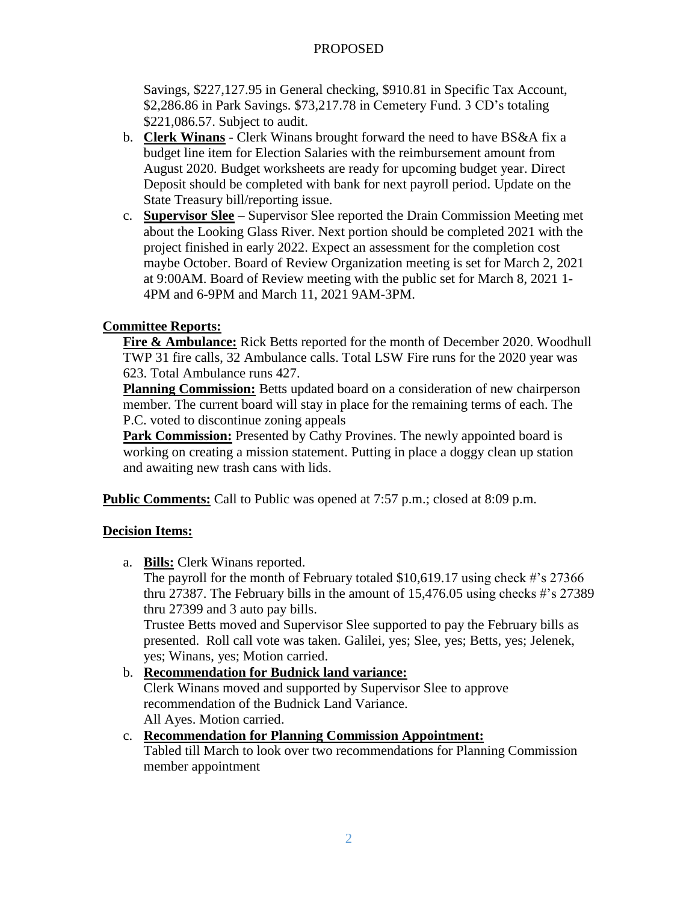# PROPOSED

Savings, \$227,127.95 in General checking, \$910.81 in Specific Tax Account, \$2,286.86 in Park Savings. \$73,217.78 in Cemetery Fund. 3 CD's totaling \$221,086.57. Subject to audit.

- b. **Clerk Winans** Clerk Winans brought forward the need to have BS&A fix a budget line item for Election Salaries with the reimbursement amount from August 2020. Budget worksheets are ready for upcoming budget year. Direct Deposit should be completed with bank for next payroll period. Update on the State Treasury bill/reporting issue.
- c. **Supervisor Slee** Supervisor Slee reported the Drain Commission Meeting met about the Looking Glass River. Next portion should be completed 2021 with the project finished in early 2022. Expect an assessment for the completion cost maybe October. Board of Review Organization meeting is set for March 2, 2021 at 9:00AM. Board of Review meeting with the public set for March 8, 2021 1- 4PM and 6-9PM and March 11, 2021 9AM-3PM.

# **Committee Reports:**

**Fire & Ambulance:** Rick Betts reported for the month of December 2020. Woodhull TWP 31 fire calls, 32 Ambulance calls. Total LSW Fire runs for the 2020 year was 623. Total Ambulance runs 427.

**Planning Commission:** Betts updated board on a consideration of new chairperson member. The current board will stay in place for the remaining terms of each. The P.C. voted to discontinue zoning appeals

**Park Commission:** Presented by Cathy Provines. The newly appointed board is working on creating a mission statement. Putting in place a doggy clean up station and awaiting new trash cans with lids.

**Public Comments:** Call to Public was opened at 7:57 p.m.; closed at 8:09 p.m.

# **Decision Items:**

a. **Bills:** Clerk Winans reported.

The payroll for the month of February totaled \$10,619.17 using check #'s 27366 thru 27387. The February bills in the amount of 15,476.05 using checks #'s 27389 thru 27399 and 3 auto pay bills.

Trustee Betts moved and Supervisor Slee supported to pay the February bills as presented. Roll call vote was taken. Galilei, yes; Slee, yes; Betts, yes; Jelenek, yes; Winans, yes; Motion carried.

# b. **Recommendation for Budnick land variance:** Clerk Winans moved and supported by Supervisor Slee to approve recommendation of the Budnick Land Variance. All Ayes. Motion carried.

## c. **Recommendation for Planning Commission Appointment:**

### Tabled till March to look over two recommendations for Planning Commission member appointment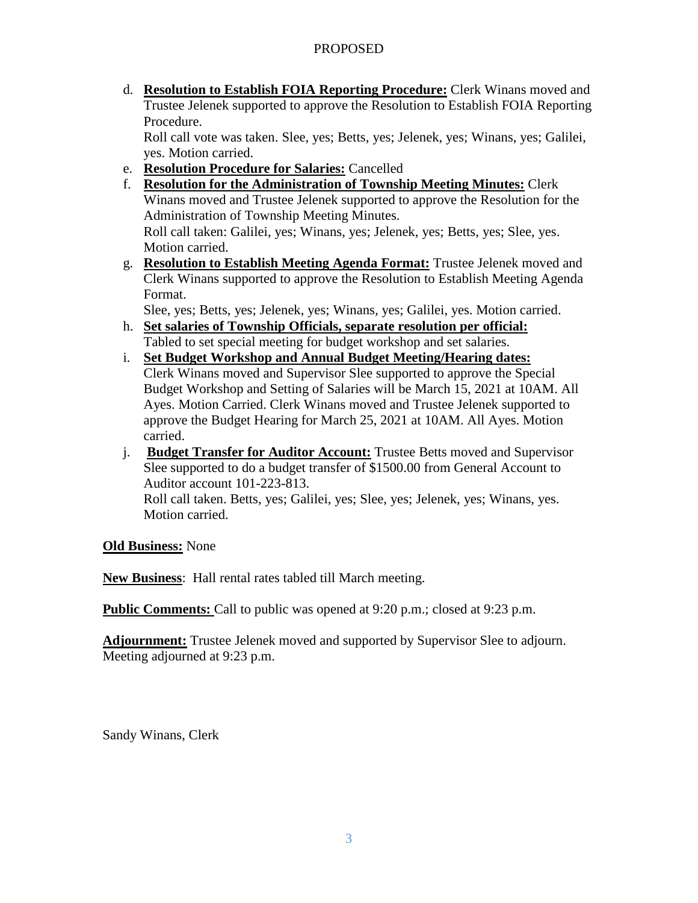# PROPOSED

d. **Resolution to Establish FOIA Reporting Procedure:** Clerk Winans moved and Trustee Jelenek supported to approve the Resolution to Establish FOIA Reporting Procedure.

Roll call vote was taken. Slee, yes; Betts, yes; Jelenek, yes; Winans, yes; Galilei, yes. Motion carried.

- e. **Resolution Procedure for Salaries:** Cancelled
- f. **Resolution for the Administration of Township Meeting Minutes:** Clerk Winans moved and Trustee Jelenek supported to approve the Resolution for the Administration of Township Meeting Minutes. Roll call taken: Galilei, yes; Winans, yes; Jelenek, yes; Betts, yes; Slee, yes. Motion carried.
- g. **Resolution to Establish Meeting Agenda Format:** Trustee Jelenek moved and Clerk Winans supported to approve the Resolution to Establish Meeting Agenda Format.

Slee, yes; Betts, yes; Jelenek, yes; Winans, yes; Galilei, yes. Motion carried.

- h. **Set salaries of Township Officials, separate resolution per official:** Tabled to set special meeting for budget workshop and set salaries.
- i. **Set Budget Workshop and Annual Budget Meeting/Hearing dates:** Clerk Winans moved and Supervisor Slee supported to approve the Special Budget Workshop and Setting of Salaries will be March 15, 2021 at 10AM. All Ayes. Motion Carried. Clerk Winans moved and Trustee Jelenek supported to approve the Budget Hearing for March 25, 2021 at 10AM. All Ayes. Motion carried.
- j. **Budget Transfer for Auditor Account:** Trustee Betts moved and Supervisor Slee supported to do a budget transfer of \$1500.00 from General Account to Auditor account 101-223-813. Roll call taken. Betts, yes; Galilei, yes; Slee, yes; Jelenek, yes; Winans, yes. Motion carried.

**Old Business:** None

**New Business**: Hall rental rates tabled till March meeting.

**Public Comments:** Call to public was opened at 9:20 p.m.; closed at 9:23 p.m.

**Adjournment:** Trustee Jelenek moved and supported by Supervisor Slee to adjourn. Meeting adjourned at 9:23 p.m.

Sandy Winans, Clerk